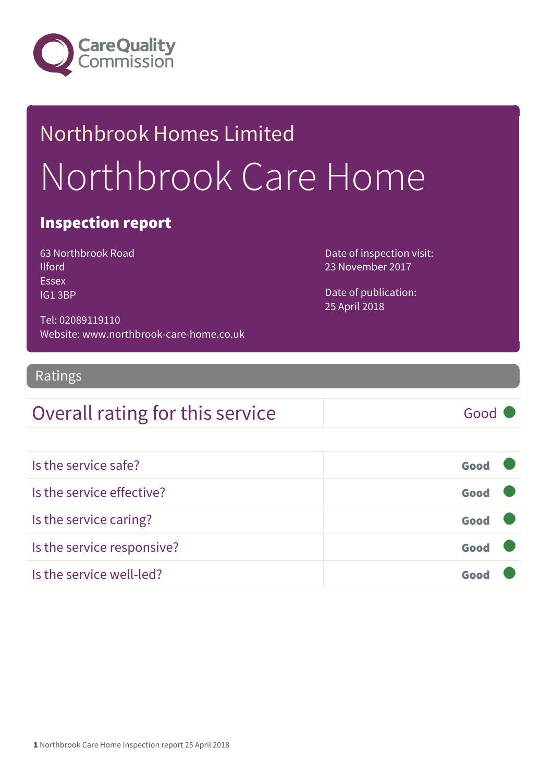

# Northbrook Homes Limited Northbrook Care Home

#### Inspection report

63 Northbrook Road **Ilford** Essex IG1 3BP

Date of inspection visit: 23 November 2017

Date of publication: 25 April 2018

Tel: 02089119110 Website: www.northbrook-care-home.co.uk

#### Ratings

#### Overall rating for this service Good

| Is the service safe?       | Good |  |
|----------------------------|------|--|
| Is the service effective?  | Good |  |
| Is the service caring?     | Good |  |
| Is the service responsive? | Good |  |
| Is the service well-led?   |      |  |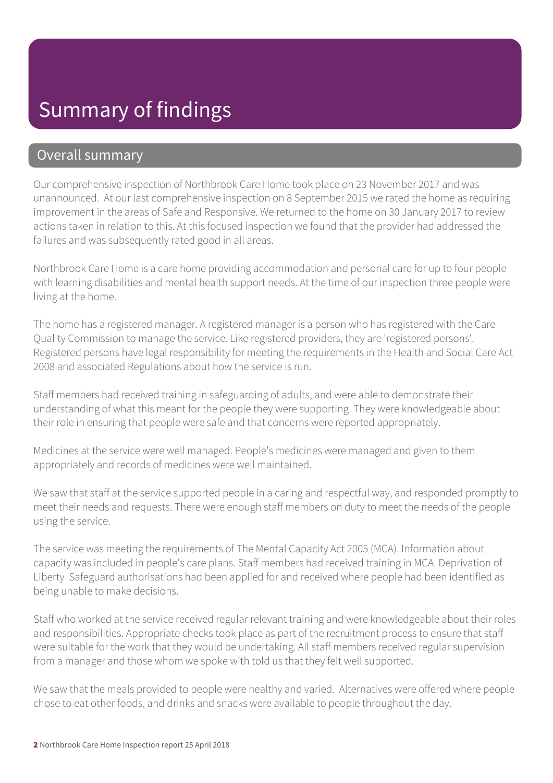### Summary of findings

#### Overall summary

Our comprehensive inspection of Northbrook Care Home took place on 23 November 2017 and was unannounced. At our last comprehensive inspection on 8 September 2015 we rated the home as requiring improvement in the areas of Safe and Responsive. We returned to the home on 30 January 2017 to review actions taken in relation to this. At this focused inspection we found that the provider had addressed the failures and was subsequently rated good in all areas.

Northbrook Care Home is a care home providing accommodation and personal care for up to four people with learning disabilities and mental health support needs. At the time of our inspection three people were living at the home.

The home has a registered manager. A registered manager is a person who has registered with the Care Quality Commission to manage the service. Like registered providers, they are 'registered persons'. Registered persons have legal responsibility for meeting the requirements in the Health and Social Care Act 2008 and associated Regulations about how the service is run.

Staff members had received training in safeguarding of adults, and were able to demonstrate their understanding of what this meant for the people they were supporting. They were knowledgeable about their role in ensuring that people were safe and that concerns were reported appropriately.

Medicines at the service were well managed. People's medicines were managed and given to them appropriately and records of medicines were well maintained.

We saw that staff at the service supported people in a caring and respectful way, and responded promptly to meet their needs and requests. There were enough staff members on duty to meet the needs of the people using the service.

The service was meeting the requirements of The Mental Capacity Act 2005 (MCA). Information about capacity was included in people's care plans. Staff members had received training in MCA. Deprivation of Liberty Safeguard authorisations had been applied for and received where people had been identified as being unable to make decisions.

Staff who worked at the service received regular relevant training and were knowledgeable about their roles and responsibilities. Appropriate checks took place as part of the recruitment process to ensure that staff were suitable for the work that they would be undertaking. All staff members received regular supervision from a manager and those whom we spoke with told us that they felt well supported.

We saw that the meals provided to people were healthy and varied. Alternatives were offered where people chose to eat other foods, and drinks and snacks were available to people throughout the day.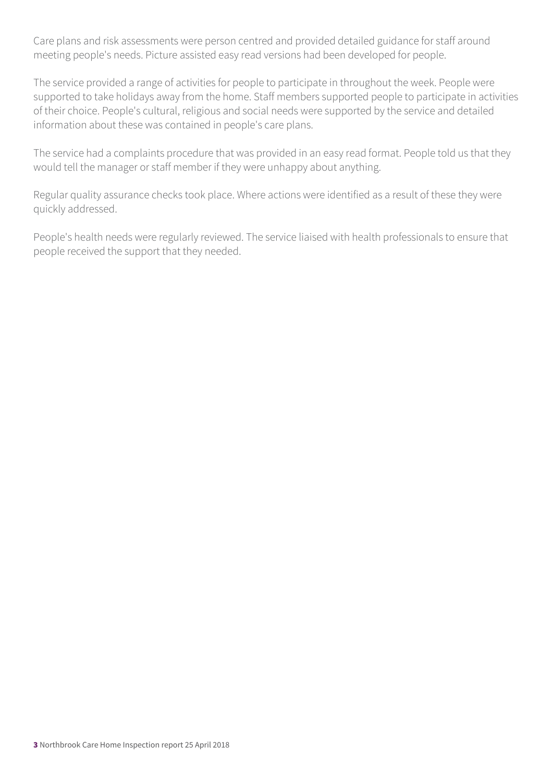Care plans and risk assessments were person centred and provided detailed guidance for staff around meeting people's needs. Picture assisted easy read versions had been developed for people.

The service provided a range of activities for people to participate in throughout the week. People were supported to take holidays away from the home. Staff members supported people to participate in activities of their choice. People's cultural, religious and social needs were supported by the service and detailed information about these was contained in people's care plans.

The service had a complaints procedure that was provided in an easy read format. People told us that they would tell the manager or staff member if they were unhappy about anything.

Regular quality assurance checks took place. Where actions were identified as a result of these they were quickly addressed.

People's health needs were regularly reviewed. The service liaised with health professionals to ensure that people received the support that they needed.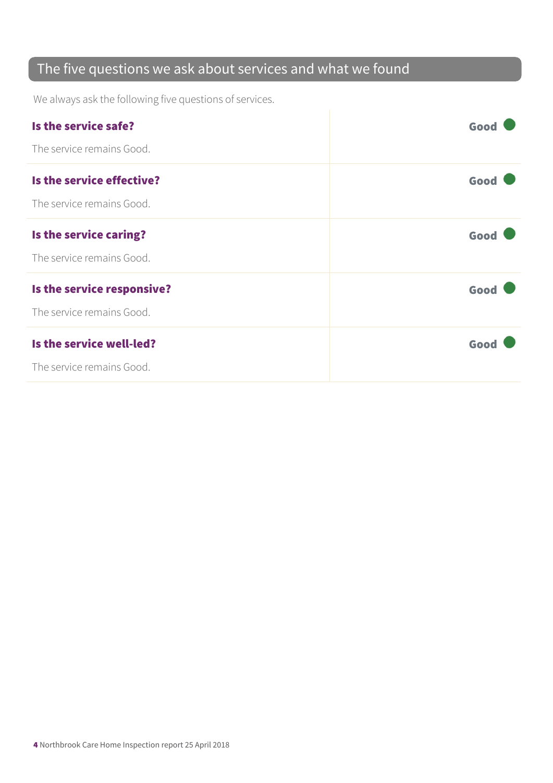#### The five questions we ask about services and what we found

We always ask the following five questions of services.

| Is the service safe?       | Good |
|----------------------------|------|
| The service remains Good.  |      |
| Is the service effective?  | Good |
| The service remains Good.  |      |
| Is the service caring?     | Good |
| The service remains Good.  |      |
| Is the service responsive? | Good |
| The service remains Good.  |      |
| Is the service well-led?   | Good |
| The service remains Good.  |      |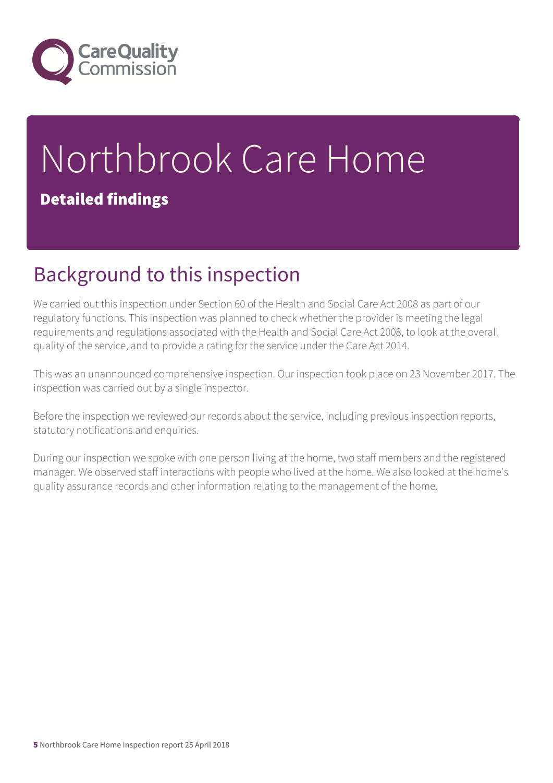

# Northbrook Care Home Detailed findings

## Background to this inspection

We carried out this inspection under Section 60 of the Health and Social Care Act 2008 as part of our regulatory functions. This inspection was planned to check whether the provider is meeting the legal requirements and regulations associated with the Health and Social Care Act 2008, to look at the overall quality of the service, and to provide a rating for the service under the Care Act 2014.

This was an unannounced comprehensive inspection. Our inspection took place on 23 November 2017. The inspection was carried out by a single inspector.

Before the inspection we reviewed our records about the service, including previous inspection reports, statutory notifications and enquiries.

During our inspection we spoke with one person living at the home, two staff members and the registered manager. We observed staff interactions with people who lived at the home. We also looked at the home's quality assurance records and other information relating to the management of the home.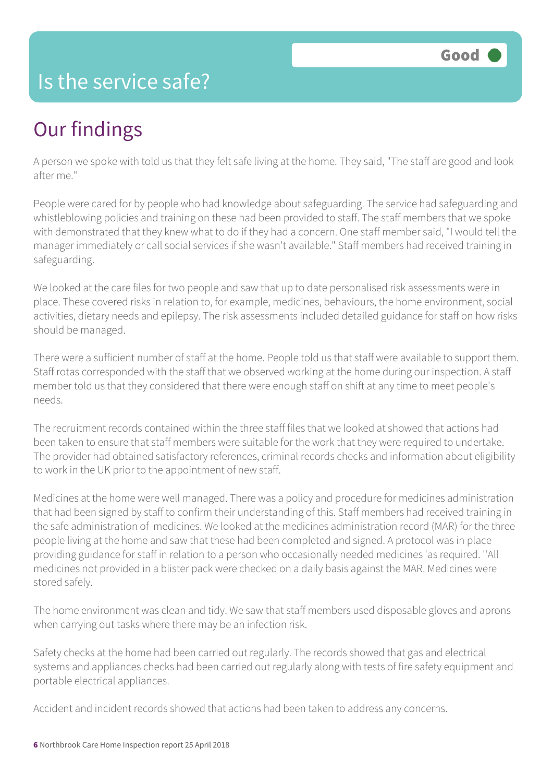#### Is the service safe?

# Our findings

A person we spoke with told us that they felt safe living at the home. They said, "The staff are good and look after me."

People were cared for by people who had knowledge about safeguarding. The service had safeguarding and whistleblowing policies and training on these had been provided to staff. The staff members that we spoke with demonstrated that they knew what to do if they had a concern. One staff member said, "I would tell the manager immediately or call social services if she wasn't available." Staff members had received training in safeguarding.

We looked at the care files for two people and saw that up to date personalised risk assessments were in place. These covered risks in relation to, for example, medicines, behaviours, the home environment, social activities, dietary needs and epilepsy. The risk assessments included detailed guidance for staff on how risks should be managed.

There were a sufficient number of staff at the home. People told us that staff were available to support them. Staff rotas corresponded with the staff that we observed working at the home during our inspection. A staff member told us that they considered that there were enough staff on shift at any time to meet people's needs.

The recruitment records contained within the three staff files that we looked at showed that actions had been taken to ensure that staff members were suitable for the work that they were required to undertake. The provider had obtained satisfactory references, criminal records checks and information about eligibility to work in the UK prior to the appointment of new staff.

Medicines at the home were well managed. There was a policy and procedure for medicines administration that had been signed by staff to confirm their understanding of this. Staff members had received training in the safe administration of medicines. We looked at the medicines administration record (MAR) for the three people living at the home and saw that these had been completed and signed. A protocol was in place providing guidance for staff in relation to a person who occasionally needed medicines 'as required. ''All medicines not provided in a blister pack were checked on a daily basis against the MAR. Medicines were stored safely.

The home environment was clean and tidy. We saw that staff members used disposable gloves and aprons when carrying out tasks where there may be an infection risk.

Safety checks at the home had been carried out regularly. The records showed that gas and electrical systems and appliances checks had been carried out regularly along with tests of fire safety equipment and portable electrical appliances.

Accident and incident records showed that actions had been taken to address any concerns.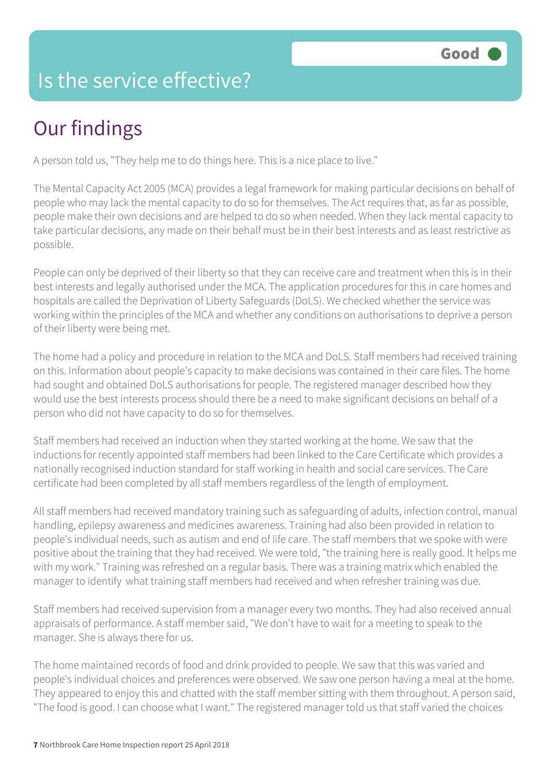### Is the service effective?

# Our findings

A person told us, "They help me to do things here. This is a nice place to live."

The Mental Capacity Act 2005 (MCA) provides a legal framework for making particular decisions on behalf of people who may lack the mental capacity to do so for themselves. The Act requires that, as far as possible, people make their own decisions and are helped to do so when needed. When they lack mental capacity to take particular decisions, any made on their behalf must be in their best interests and as least restrictive as possible.

People can only be deprived of their liberty so that they can receive care and treatment when this is in their best interests and legally authorised under the MCA. The application procedures for this in care homes and hospitals are called the Deprivation of Liberty Safeguards (DoLS). We checked whether the service was working within the principles of the MCA and whether any conditions on authorisations to deprive a person of their liberty were being met.

The home had a policy and procedure in relation to the MCA and DoLS. Staff members had received training on this. Information about people's capacity to make decisions was contained in their care files. The home had sought and obtained DoLS authorisations for people. The registered manager described how they would use the best interests process should there be a need to make significant decisions on behalf of a person who did not have capacity to do so for themselves.

Staff members had received an induction when they started working at the home. We saw that the inductions for recently appointed staff members had been linked to the Care Certificate which provides a nationally recognised induction standard for staff working in health and social care services. The Care certificate had been completed by all staff members regardless of the length of employment.

All staff members had received mandatory training such as safeguarding of adults, infection control, manual handling, epilepsy awareness and medicines awareness. Training had also been provided in relation to people's individual needs, such as autism and end of life care. The staff members that we spoke with were positive about the training that they had received. We were told, "the training here is really good. It helps me with my work." Training was refreshed on a regular basis. There was a training matrix which enabled the manager to identify what training staff members had received and when refresher training was due.

Staff members had received supervision from a manager every two months. They had also received annual appraisals of performance. A staff member said, "We don't have to wait for a meeting to speak to the manager. She is always there for us.

The home maintained records of food and drink provided to people. We saw that this was varied and people's individual choices and preferences were observed. We saw one person having a meal at the home. They appeared to enjoy this and chatted with the staff member sitting with them throughout. A person said, "The food is good. I can choose what I want." The registered manager told us that staff varied the choices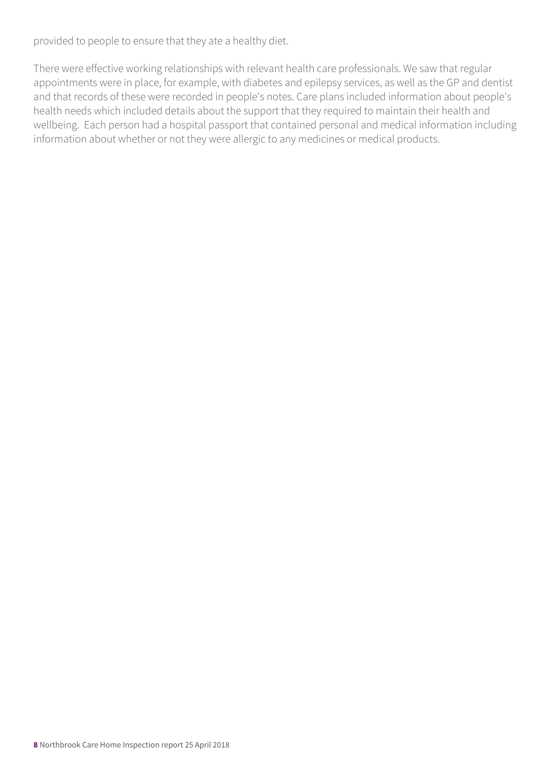provided to people to ensure that they ate a healthy diet.

There were effective working relationships with relevant health care professionals. We saw that regular appointments were in place, for example, with diabetes and epilepsy services, as well as the GP and dentist and that records of these were recorded in people's notes. Care plans included information about people's health needs which included details about the support that they required to maintain their health and wellbeing. Each person had a hospital passport that contained personal and medical information including information about whether or not they were allergic to any medicines or medical products.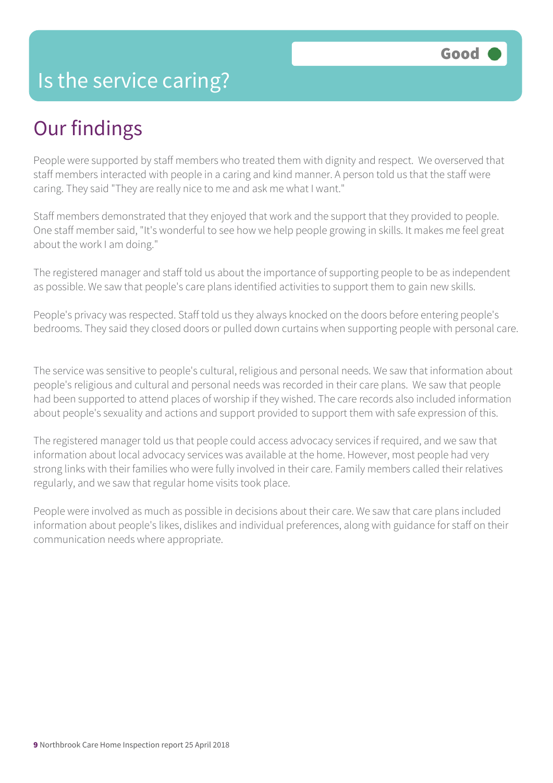#### Is the service caring?

## Our findings

People were supported by staff members who treated them with dignity and respect. We overserved that staff members interacted with people in a caring and kind manner. A person told us that the staff were caring. They said "They are really nice to me and ask me what I want."

Staff members demonstrated that they enjoyed that work and the support that they provided to people. One staff member said, "It's wonderful to see how we help people growing in skills. It makes me feel great about the work I am doing."

The registered manager and staff told us about the importance of supporting people to be as independent as possible. We saw that people's care plans identified activities to support them to gain new skills.

People's privacy was respected. Staff told us they always knocked on the doors before entering people's bedrooms. They said they closed doors or pulled down curtains when supporting people with personal care.

The service was sensitive to people's cultural, religious and personal needs. We saw that information about people's religious and cultural and personal needs was recorded in their care plans. We saw that people had been supported to attend places of worship if they wished. The care records also included information about people's sexuality and actions and support provided to support them with safe expression of this.

The registered manager told us that people could access advocacy services if required, and we saw that information about local advocacy services was available at the home. However, most people had very strong links with their families who were fully involved in their care. Family members called their relatives regularly, and we saw that regular home visits took place.

People were involved as much as possible in decisions about their care. We saw that care plans included information about people's likes, dislikes and individual preferences, along with guidance for staff on their communication needs where appropriate.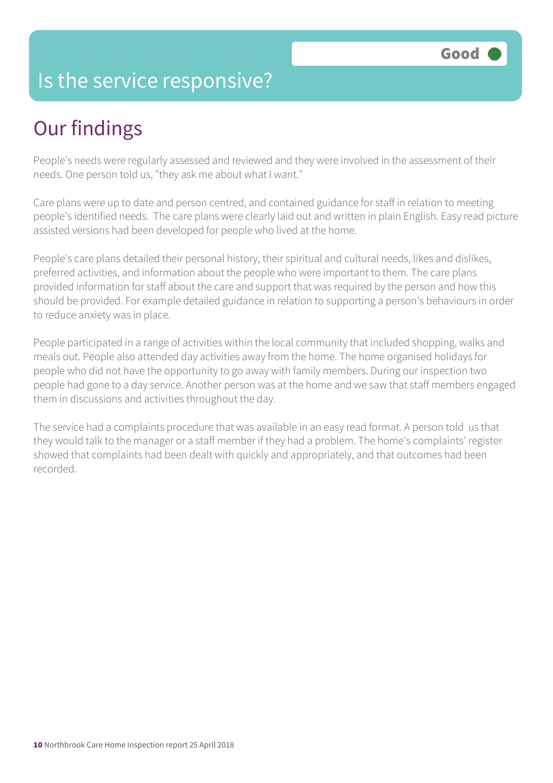#### Is the service responsive?

## Our findings

People's needs were regularly assessed and reviewed and they were involved in the assessment of their needs. One person told us, "they ask me about what I want."

Care plans were up to date and person centred, and contained guidance for staff in relation to meeting people's identified needs. The care plans were clearly laid out and written in plain English. Easy read picture assisted versions had been developed for people who lived at the home.

People's care plans detailed their personal history, their spiritual and cultural needs, likes and dislikes, preferred activities, and information about the people who were important to them. The care plans provided information for staff about the care and support that was required by the person and how this should be provided. For example detailed guidance in relation to supporting a person's behaviours in order to reduce anxiety was in place.

People participated in a range of activities within the local community that included shopping, walks and meals out. People also attended day activities away from the home. The home organised holidays for people who did not have the opportunity to go away with family members. During our inspection two people had gone to a day service. Another person was at the home and we saw that staff members engaged them in discussions and activities throughout the day.

The service had a complaints procedure that was available in an easy read format. A person told us that they would talk to the manager or a staff member if they had a problem. The home's complaints' register showed that complaints had been dealt with quickly and appropriately, and that outcomes had been recorded.